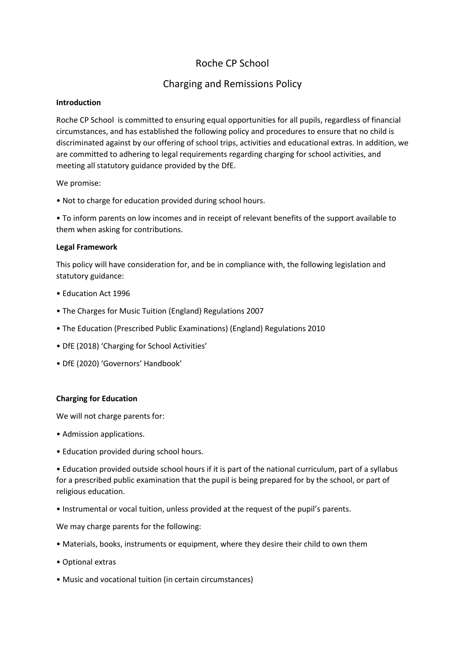# Roche CP School

# Charging and Remissions Policy

## **Introduction**

Roche CP School is committed to ensuring equal opportunities for all pupils, regardless of financial circumstances, and has established the following policy and procedures to ensure that no child is discriminated against by our offering of school trips, activities and educational extras. In addition, we are committed to adhering to legal requirements regarding charging for school activities, and meeting all statutory guidance provided by the DfE.

We promise:

• Not to charge for education provided during school hours.

• To inform parents on low incomes and in receipt of relevant benefits of the support available to them when asking for contributions.

## **Legal Framework**

This policy will have consideration for, and be in compliance with, the following legislation and statutory guidance:

- Education Act 1996
- The Charges for Music Tuition (England) Regulations 2007
- The Education (Prescribed Public Examinations) (England) Regulations 2010
- DfE (2018) 'Charging for School Activities'
- DfE (2020) 'Governors' Handbook'

# **Charging for Education**

We will not charge parents for:

- Admission applications.
- Education provided during school hours.

• Education provided outside school hours if it is part of the national curriculum, part of a syllabus for a prescribed public examination that the pupil is being prepared for by the school, or part of religious education.

• Instrumental or vocal tuition, unless provided at the request of the pupil's parents.

We may charge parents for the following:

- Materials, books, instruments or equipment, where they desire their child to own them
- Optional extras
- Music and vocational tuition (in certain circumstances)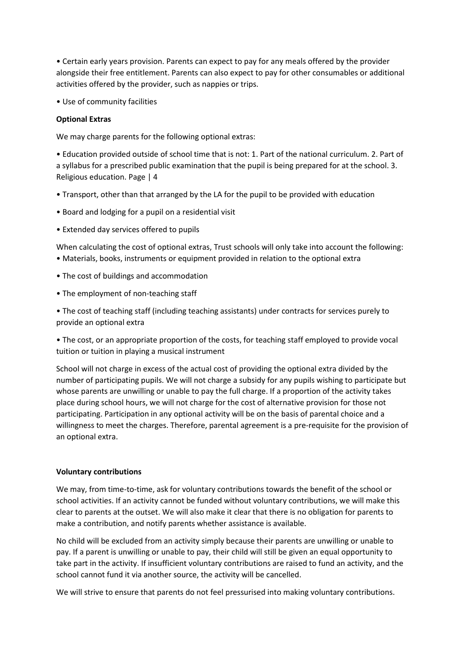• Certain early years provision. Parents can expect to pay for any meals offered by the provider alongside their free entitlement. Parents can also expect to pay for other consumables or additional activities offered by the provider, such as nappies or trips.

• Use of community facilities

## **Optional Extras**

We may charge parents for the following optional extras:

• Education provided outside of school time that is not: 1. Part of the national curriculum. 2. Part of a syllabus for a prescribed public examination that the pupil is being prepared for at the school. 3. Religious education. Page | 4

- Transport, other than that arranged by the LA for the pupil to be provided with education
- Board and lodging for a pupil on a residential visit
- Extended day services offered to pupils

When calculating the cost of optional extras, Trust schools will only take into account the following: • Materials, books, instruments or equipment provided in relation to the optional extra

- The cost of buildings and accommodation
- The employment of non-teaching staff

• The cost of teaching staff (including teaching assistants) under contracts for services purely to provide an optional extra

• The cost, or an appropriate proportion of the costs, for teaching staff employed to provide vocal tuition or tuition in playing a musical instrument

School will not charge in excess of the actual cost of providing the optional extra divided by the number of participating pupils. We will not charge a subsidy for any pupils wishing to participate but whose parents are unwilling or unable to pay the full charge. If a proportion of the activity takes place during school hours, we will not charge for the cost of alternative provision for those not participating. Participation in any optional activity will be on the basis of parental choice and a willingness to meet the charges. Therefore, parental agreement is a pre-requisite for the provision of an optional extra.

#### **Voluntary contributions**

We may, from time-to-time, ask for voluntary contributions towards the benefit of the school or school activities. If an activity cannot be funded without voluntary contributions, we will make this clear to parents at the outset. We will also make it clear that there is no obligation for parents to make a contribution, and notify parents whether assistance is available.

No child will be excluded from an activity simply because their parents are unwilling or unable to pay. If a parent is unwilling or unable to pay, their child will still be given an equal opportunity to take part in the activity. If insufficient voluntary contributions are raised to fund an activity, and the school cannot fund it via another source, the activity will be cancelled.

We will strive to ensure that parents do not feel pressurised into making voluntary contributions.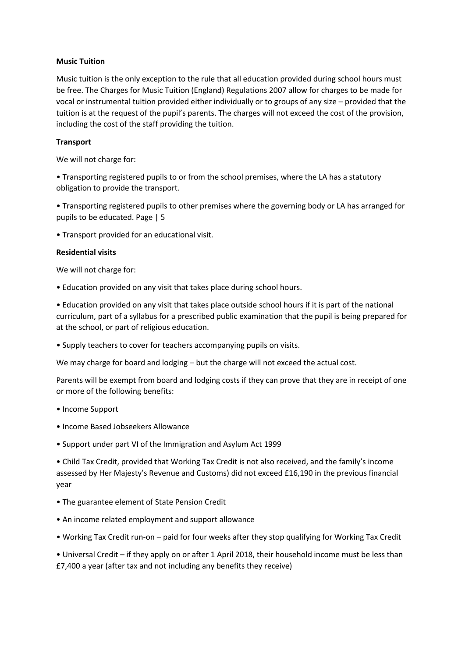## **Music Tuition**

Music tuition is the only exception to the rule that all education provided during school hours must be free. The Charges for Music Tuition (England) Regulations 2007 allow for charges to be made for vocal or instrumental tuition provided either individually or to groups of any size – provided that the tuition is at the request of the pupil's parents. The charges will not exceed the cost of the provision, including the cost of the staff providing the tuition.

# **Transport**

We will not charge for:

• Transporting registered pupils to or from the school premises, where the LA has a statutory obligation to provide the transport.

• Transporting registered pupils to other premises where the governing body or LA has arranged for pupils to be educated. Page | 5

• Transport provided for an educational visit.

#### **Residential visits**

We will not charge for:

• Education provided on any visit that takes place during school hours.

• Education provided on any visit that takes place outside school hours if it is part of the national curriculum, part of a syllabus for a prescribed public examination that the pupil is being prepared for at the school, or part of religious education.

• Supply teachers to cover for teachers accompanying pupils on visits.

We may charge for board and lodging – but the charge will not exceed the actual cost.

Parents will be exempt from board and lodging costs if they can prove that they are in receipt of one or more of the following benefits:

- Income Support
- Income Based Jobseekers Allowance
- Support under part VI of the Immigration and Asylum Act 1999

• Child Tax Credit, provided that Working Tax Credit is not also received, and the family's income assessed by Her Majesty's Revenue and Customs) did not exceed £16,190 in the previous financial year

- The guarantee element of State Pension Credit
- An income related employment and support allowance
- Working Tax Credit run-on paid for four weeks after they stop qualifying for Working Tax Credit

• Universal Credit – if they apply on or after 1 April 2018, their household income must be less than £7,400 a year (after tax and not including any benefits they receive)